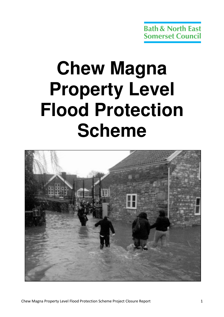# **Chew Magna Property Level Flood Protection Scheme**

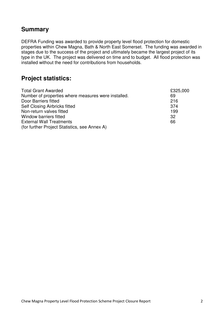## **Summary**

DEFRA Funding was awarded to provide property level flood protection for domestic properties within Chew Magna, Bath & North East Somerset. The funding was awarded in stages due to the success of the project and ultimately became the largest project of its type in the UK. The project was delivered on time and to budget. All flood protection was installed without the need for contributions from households.

## **Project statistics:**

| <b>Total Grant Awarded</b>                          | £325,000 |
|-----------------------------------------------------|----------|
| Number of properties where measures were installed. | 69       |
| Door Barriers fitted                                | 216      |
| Self Closing Airbricks fitted                       | 374      |
| Non-return valves fitted                            | 199      |
| Window barriers fitted                              | 32       |
| <b>External Wall Treatments</b>                     | 66       |
| (for further Project Statistics, see Annex A)       |          |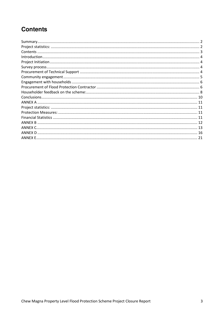## **Contents**

| 21 |
|----|
|    |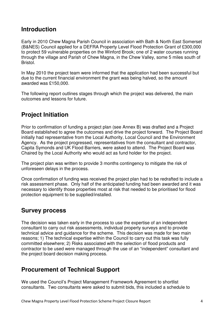## **Introduction**

Early in 2010 Chew Magna Parish Council in association with Bath & North East Somerset (B&NES) Council applied for a DEFRA Property Level Flood Protection Grant of £300,000 to protect 59 vulnerable properties on the Winford Brook; one of 2 water courses running through the village and Parish of Chew Magna, in the Chew Valley, some 5 miles south of Bristol.

In May 2010 the project team were informed that the application had been successful but due to the current financial environment the grant was being halved, so the amount awarded was £150,000.

The following report outlines stages through which the project was delivered, the main outcomes and lessons for future.

## **Project Initiation**

Prior to confirmation of funding a project plan (see Annex B) was drafted and a Project Board established to agree the outcomes and drive the project forward. The Project Board initially had representative from the Local Authority, Local Council and the Environment Agency. As the project progressed, representatives from the consultant and contractor, Capita Symonds and UK Flood Barriers, were asked to attend. The Project Board was Chaired by the Local Authority who would act as fund holder for the project.

The project plan was written to provide 3 months contingency to mitigate the risk of unforeseen delays in the process.

Once confirmation of funding was received the project plan had to be redrafted to include a risk assessment phase. Only half of the anticipated funding had been awarded and it was necessary to identify those properties most at risk that needed to be prioritised for flood protection equipment to be supplied/installed.

## **Survey process**

The decision was taken early in the process to use the expertise of an independent consultant to carry out risk assessments, individual property surveys and to provide technical advice and guidance for the scheme. This decision was made for two main reasons; 1) The technical expertise within the Council to carry out this task was fully committed elsewhere; 2) Risks associated with the selection of flood products and contractor to be used were managed through the use of an "independent" consultant and the project board decision making process.

## **Procurement of Technical Support**

We used the Council's Project Management Framework Agreement to shortlist consultants. Two consultants were asked to submit bids, this included a schedule to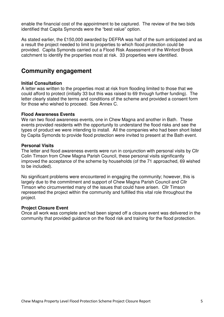enable the financial cost of the appointment to be captured. The review of the two bids identified that Capita Symonds were the "best value" option.

As stated earlier, the £150,000 awarded by DEFRA was half of the sum anticipated and as a result the project needed to limit to properties to which flood protection could be provided. Capita Symonds carried out a Flood Risk Assessment of the Winford Brook catchment to identify the properties most at risk. 33 properties were identified.

## **Community engagement**

#### **Initial Consultation**

A letter was written to the properties most at risk from flooding limited to those that we could afford to protect (initially 33 but this was raised to 69 through further funding). The letter clearly stated the terms and conditions of the scheme and provided a consent form for those who wished to proceed. See Annex C.

#### **Flood Awareness Events**

We ran two flood awareness events, one in Chew Magna and another in Bath. These events provided residents with the opportunity to understand the flood risks and see the types of product we were intending to install. All the companies who had been short listed by Capita Symonds to provide flood protection were invited to present at the Bath event.

#### **Personal Visits**

The letter and flood awareness events were run in conjunction with personal visits by Cllr Colin Timson from Chew Magna Parish Council, these personal visits significantly improved the acceptance of the scheme by households (of the 71 approached, 69 wished to be included).

No significant problems were encountered in engaging the community; however, this is largely due to the commitment and support of Chew Magna Parish Council and Cllr Timson who circumvented many of the issues that could have arisen. Cllr Timson represented the project within the community and fulfilled this vital role throughout the project.

#### **Project Closure Event**

Once all work was complete and had been signed off a closure event was delivered in the community that provided guidance on the flood risk and training for the flood protection.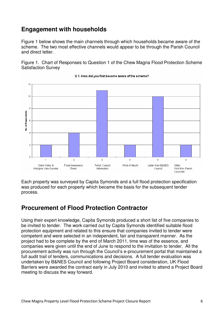## **Engagement with households**

Figure 1 below shows the main channels through which households became aware of the scheme. The two most effective channels would appear to be through the Parish Council and direct letter.

Figure 1. Chart of Responses to Question 1 of the Chew Magna Flood Protection Scheme Satisfaction Survey



Q 1. How did you first become aware of the scheme?

Each property was surveyed by Capita Symonds and a full flood protection specification was produced for each property which became the basis for the subsequent tender process.

## **Procurement of Flood Protection Contractor**

Using their expert knowledge, Capita Symonds produced a short list of five companies to be invited to tender. The work carried out by Capita Symonds identified suitable flood protection equipment and related to this ensure that companies invited to tender were competent and were selected in an independent, fair and transparent manner. As the project had to be complete by the end of March 2011, time was of the essence, and companies were given until the end of June to respond to the invitation to tender. All the procurement activity was run through the Council's e-procurement portal that maintained a full audit trail of tenders, communications and decisions. A full tender evaluation was undertaken by B&NES Council and following Project Board consideration, UK Flood Barriers were awarded the contract early in July 2010 and invited to attend a Project Board meeting to discuss the way forward.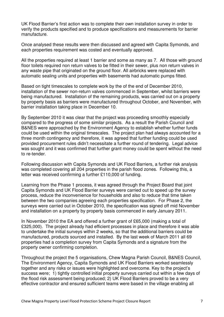UK Flood Barrier's first action was to complete their own installation survey in order to verify the products specified and to produce specifications and measurements for barrier manufacture.

Once analysed these results were then discussed and agreed with Capita Symonds, and each properties requirement was costed and eventually approved.

All the properties required at least 1 barrier and some as many as 7. All those with ground floor toilets required non return valves to be fitted in their sewer, plus non return valves in any waste pipe that originated on the ground floor. All airbricks were replaced with automatic sealing units and properties with basements had automatic pumps fitted.

Based on tight timescales to complete work by the of the end of December 2010, installation of the sewer non-return valves commenced in September, whilst barriers were being manufactured. Installation of the remaining products, was carried out on a property by property basis as barriers were manufactured throughout October, and November, with barrier installation taking place in December 10.

By September 2010 it was clear that the project was proceeding smoothly especially compared to the progress of some similar projects. As a result the Parish Council and B&NES were approached by the Environment Agency to establish whether further funds could be used within the original timescales. The project plan had always accounted for a three month contingency and therefore, it was agreed that further funding could be used provided procurement rules didn't necessitate a further round of tendering. Legal advice was sought and it was confirmed that further grant money could be spent without the need to re-tender.

Following discussion with Capita Symonds and UK Flood Barriers, a further risk analysis was completed covering all 204 properties in the parish flood zones. Following this, a letter was received confirming a further £110,000 of funding.

Learning from the Phase 1 process, it was agreed through the Project Board that joint Capita Symonds and UK Flood Barrier surveys were carried out to speed up the survey process, reduce the inconvenience for households and also to reduce that time taken between the two companies agreeing each properties specification. For Phase 2, the surveys were carried out in October 2010, the specification was signed off mid November and installation on a property by property basis commenced in early January 2011.

In November 2010 the EA and offered a further grant of £65,000 (making a total of £325,000). The project already had efficient processes in place and therefore it was able to undertake the initial surveys within 2 weeks, so that the additional barriers could be manufactured, products sourced and installed. By the last week of March 2011 all 69 properties had a completion survey from Capita Symonds and a signature from the property owner confirming completion.

Throughout the project the 5 organisations, Chew Magna Parish Council, B&NES Council, The Environment Agency, Capita Symonds and UK Flood Barriers worked seamlessly together and any risks or issues were highlighted and overcome. Key to the project's success were; 1) tightly controlled initial property surveys carried out within a few days of the flood risk assessment being produced; 2) UK Flood Barriers proved to be a very effective contractor and ensured sufficient teams were based in the village enabling all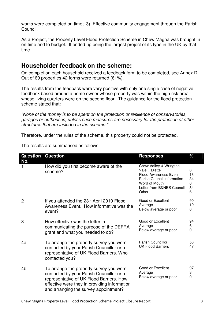works were completed on time; 3) Effective community engagement through the Parish Council.

As a Project, the Property Level Flood Protection Scheme in Chew Magna was brought in on time and to budget. It ended up being the largest project of its type in the UK by that time.

## **Householder feedback on the scheme:**

On completion each household received a feedback form to be completed, see Annex D. Out of 69 properties 42 forms were returned (61%).

The results from the feedback were very positive with only one single case of negative feedback based around a home owner whose property was within the high risk area whose living quarters were on the second floor. The quidance for the flood protection scheme stated that:

"None of the money is to be spent on the protection or resilience of conservatories, garages or outhouses, unless such measures are necessary for the protection of other structures that are included in the scheme."

Therefore, under the rules of the scheme, this property could not be protected.

The results are summarised as follows:

| <b>Question</b><br>No. | <b>Question</b>                                                                                                                                                                                                          | <b>Responses</b>                                                                                                                                            | $\%$                          |
|------------------------|--------------------------------------------------------------------------------------------------------------------------------------------------------------------------------------------------------------------------|-------------------------------------------------------------------------------------------------------------------------------------------------------------|-------------------------------|
|                        | How did you first become aware of the<br>scheme?                                                                                                                                                                         | Chew Valley & Wrington<br>Vale Gazette<br><b>Flood Awareness Event</b><br>Parish Council Information<br>Word of Mouth<br>Letter from B&NES Council<br>Other | 6<br>13<br>34<br>6<br>34<br>6 |
| $\overline{2}$         | If you attended the 23 <sup>rd</sup> April 2010 Flood<br>Awareness Event. How informative was the<br>event?                                                                                                              | Good or Excellent<br>Average<br>Below average or poor                                                                                                       | 90<br>10<br>0                 |
| 3                      | How effective was the letter in<br>communicating the purpose of the DEFRA<br>grant and what you needed to do?                                                                                                            | Good or Excellent<br>Average<br>Below average or poor                                                                                                       | 94<br>6<br>0                  |
| 4a                     | To arrange the property survey you were<br>contacted by your Parish Councillor or a<br>representative of UK Flood Barriers. Who<br>contacted you?                                                                        | Parish Councillor<br><b>UK Flood Barriers</b>                                                                                                               | 53<br>47                      |
| 4 <sub>b</sub>         | To arrange the property survey you were<br>contacted by your Parish Councillor or a<br>representative of UK Flood Barriers. How<br>effective were they in providing information<br>and arranging the survey appointment? | Good or Excellent<br>Average<br>Below average or poor                                                                                                       | 97<br>3<br>$\mathbf{0}$       |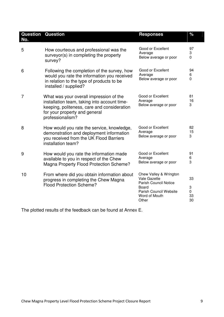| No. | <b>Question Question</b>                                                                                                                                                                    | <b>Responses</b>                                                                                                                           | %                               |
|-----|---------------------------------------------------------------------------------------------------------------------------------------------------------------------------------------------|--------------------------------------------------------------------------------------------------------------------------------------------|---------------------------------|
| 5   | How courteous and professional was the<br>surveyor(s) in completing the property<br>survey?                                                                                                 | Good or Excellent<br>Average<br>Below average or poor                                                                                      | 97<br>3<br>$\overline{0}$       |
| 6   | Following the completion of the survey, how<br>would you rate the information you received<br>in relation to the type of products to be<br>installed / supplied?                            | Good or Excellent<br>Average<br>Below average or poor                                                                                      | 94<br>6<br>0                    |
| 7   | What was your overall impression of the<br>installation team, taking into account time-<br>keeping, politeness, care and consideration<br>for your property and general<br>professionalism? | Good or Excellent<br>Average<br>Below average or poor                                                                                      | 81<br>16<br>3                   |
| 8   | How would you rate the service, knowledge,<br>demonstration and deployment information<br>you received from the UK Flood Barriers<br>installation team?                                     | Good or Excellent<br>Average<br>Below average or poor                                                                                      | 82<br>15<br>3                   |
| 9   | How would you rate the information made<br>available to you in respect of the Chew<br>Magna Property Flood Protection Scheme?                                                               | Good or Excellent<br>Average<br>Below average or poor                                                                                      | 91<br>6<br>3                    |
| 10  | From where did you obtain information about<br>progress in completing the Chew Magna<br><b>Flood Protection Scheme?</b>                                                                     | Chew Valley & Wrington<br>Vale Gazette<br><b>Parish Council Notice</b><br><b>Board</b><br>Parish Council Website<br>Word of Mouth<br>Other | 33<br>3<br>$\Omega$<br>33<br>30 |

The plotted results of the feedback can be found at Annex E.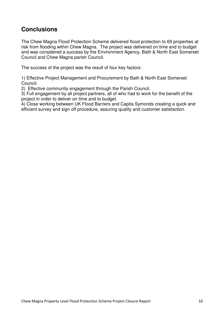## **Conclusions**

The Chew Magna Flood Protection Scheme delivered flood protection to 69 properties at risk from flooding within Chew Magna. The project was delivered on time and to budget and was considered a success by the Environment Agency, Bath & North East Somerset Council and Chew Magna parish Council.

The success of the project was the result of four key factors:

1) Effective Project Management and Procurement by Bath & North East Somerset Council.

2) Effective community engagement through the Parish Council.

3) Full engagement by all project partners, all of who had to work for the benefit of the project in order to deliver on time and to budget.

4) Close working between UK Flood Barriers and Capita Symonds creating a quick and efficient survey and sign off procedure, assuring quality and customer satisfaction.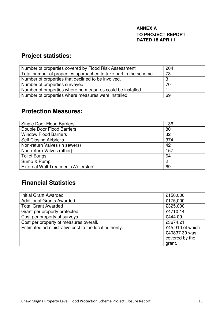#### **ANNEX A TO PROJECT REPORT DATED 18 APR 11**

## **Project statistics:**

| Number of properties covered by Flood Risk Assessment             | 204 |
|-------------------------------------------------------------------|-----|
| Total number of properties approached to take part in the scheme. | 73  |
| Number of properties that declined to be involved.                | 3   |
| Number of properties surveyed.                                    | 70  |
| Number of properties where no measures could be installed         |     |
| Number of properties where measures were installed.               | 69  |

## **Protection Measures:**

| 136 |
|-----|
| 80  |
| 32  |
| 374 |
| 42  |
| 157 |
| 64  |
| 2   |
| 69  |
|     |

## **Financial Statistics**

| <b>Initial Grant Awarded</b>                          | £150,000         |
|-------------------------------------------------------|------------------|
| <b>Additional Grants Awarded</b>                      | £175,000         |
| <b>Total Grant Awarded</b>                            | £325,000         |
| Grant per property protected                          | £4710.14         |
| Cost per property of surveys.                         | £444.09          |
| Cost per property of measures overall.                | £3674.21         |
| Estimated administrative cost to the local authority. | £45,910 of which |
|                                                       | £40837.30 was    |
|                                                       | covered by the   |
|                                                       | grant.           |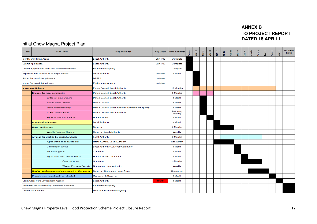#### **ANNEX B TO PROJECT REPORT DATED 18 APR 11**

#### Initial Chew Magna Project Plan

| <b>Task</b> | <b>Sub Tasks</b>                                 | <b>Responsibility</b>                               | <b>Key Dates</b> | <b>Time Estimate</b> | Feb-10 | Mar-10 | Apr-10 | May-10 | $J$ um-10 | $Jul-10$ | Aug-10 | $Step-10$ | <b>Oct-10</b> | Nov-10 | $Dec-10$ | $Jan-11$ | Feb-11 | Mar-11 | No Time<br>Limit |
|-------------|--------------------------------------------------|-----------------------------------------------------|------------------|----------------------|--------|--------|--------|--------|-----------|----------|--------|-----------|---------------|--------|----------|----------|--------|--------|------------------|
|             | <b>Identify Candidate Areas</b>                  | <b>Local Authority</b>                              | 30/11/09         | Complete             |        |        |        |        |           |          |        |           |               |        |          |          |        |        |                  |
|             | <b>Submit Application</b>                        | <b>Local Authority</b>                              | 30/11/09         | Complete             |        |        |        |        |           |          |        |           |               |        |          |          |        |        |                  |
|             | Review Applications and Make Recommendations     | <b>Environment Agency</b>                           |                  | Complete             |        |        |        |        |           |          |        |           |               |        |          |          |        |        |                  |
|             | Expresssion of Interest for Survey Contract      | <b>Local Authority</b>                              | 31/3/10          | 1 Month              |        |        |        |        |           |          |        |           |               |        |          |          |        |        |                  |
|             | <b>Select Successful Applications</b>            | <b>DEFRA</b>                                        | 31/3/10          |                      |        |        |        |        |           |          |        |           |               |        |          |          |        |        |                  |
|             | <b>Inform Successful Applicants</b>              | <b>Environment Agency</b>                           | 31/3/10          |                      |        |        |        |        |           |          |        |           |               |        |          |          |        |        |                  |
|             | <b>Implement Scheme</b>                          | Parish Council/ Local Authority                     |                  | 12 Months            |        |        |        |        |           |          |        |           |               |        |          |          |        |        |                  |
|             | <b>Engage the local community</b>                | Parish Council/ Local Authority                     |                  | 3 Months             |        |        |        |        |           |          |        |           |               |        |          |          |        |        |                  |
|             | Letter to Home Owners                            | Parish Council/ Local Authority                     |                  | 1 Month              |        |        |        |        |           |          |        |           |               |        |          |          |        |        |                  |
|             | <b>Visit to Home Owners</b>                      | <b>Parish Council</b>                               |                  | 1 Month              |        |        |        |        |           |          |        |           |               |        |          |          |        |        |                  |
|             | <b>Flood Awareness Day</b>                       | Parish Council/ Local Authority/ Environment Agency |                  | 1 Month              |        |        |        |        |           |          |        |           |               |        |          |          |        |        |                  |
|             | <b>PLFPG Notice Board</b>                        | Parish Council/ Local Authority                     |                  | Following<br>meeting |        |        |        |        |           |          |        |           |               |        |          |          |        |        |                  |
|             | Agree inclusion in scheme                        | Home Owners                                         |                  | 1 Month              |        |        |        |        |           |          |        |           |               |        |          |          |        |        |                  |
|             | <b>Commission Surveys</b>                        | Local Authority                                     |                  | 1 Month              |        |        |        |        |           |          |        |           |               |        |          |          |        |        |                  |
|             | <b>Carry out Surveys</b>                         | Surveyor                                            |                  | 2 Months             |        |        |        |        |           |          |        |           |               |        |          |          |        |        |                  |
|             | <b>Weekly Progress Reports</b>                   | Surveyor/ Local Authority                           |                  | Weekly               |        |        |        |        |           |          |        |           |               |        |          |          |        |        |                  |
|             | Arrange for work to be carried and paid          | Local Authority                                     |                  | 6 Months             |        |        |        |        |           |          |        |           |               |        |          |          |        |        |                  |
|             | Agree works to be carried out                    | Home Owners/ Local Authority                        |                  | Concurrent           |        |        |        |        |           |          |        |           |               |        |          |          |        |        |                  |
|             | <b>Commission Works</b>                          | Local Authority/ Surveyor/ Contractor               |                  | 1 Month              |        |        |        |        |           |          |        |           |               |        |          |          |        |        |                  |
|             | <b>Source Supplies</b>                           | Contractor                                          |                  | 1 Month              |        |        |        |        |           |          |        |           |               |        |          |          |        |        |                  |
|             | Agree Time and Date for Works                    | Home Owners/ Contractor                             |                  | 1 Month              |        |        |        |        |           |          |        |           |               |        |          |          |        |        |                  |
|             | Carry out works                                  | Contractor                                          |                  | 3 Months             |        |        |        |        |           |          |        |           |               |        |          |          |        |        |                  |
|             | <b>Weekly Progress Reports</b>                   | <b>Contractor/ Local Authority</b>                  |                  | Weekly               |        |        |        |        |           |          |        |           |               |        |          |          |        |        |                  |
|             | Confirm work completed as required by the survey | Surveyor/ Contractor/ Home Owner                    |                  | Concurrent           |        |        |        |        |           |          |        |           |               |        |          |          |        |        |                  |
|             | Provide reports and audit certificated           | <b>Contractor &amp; Surveyor</b>                    |                  | 1 Month              |        |        |        |        |           |          |        |           |               |        |          |          |        |        |                  |
|             | <b>Claim Grant from Environment Agency</b>       | <b>Local Authority</b>                              | 31/3/11          | 1 Month              |        |        |        |        |           |          |        |           |               |        |          |          |        |        |                  |
|             | Pay Grant for Successfully Completed Schemes     | <b>Environment Agency</b>                           |                  |                      |        |        |        |        |           |          |        |           |               |        |          |          |        |        |                  |
|             | <b>Review the Scheme</b>                         | <b>DEFRA &amp; Environment Agency</b>               |                  |                      |        |        |        |        |           |          |        |           |               |        |          |          |        |        |                  |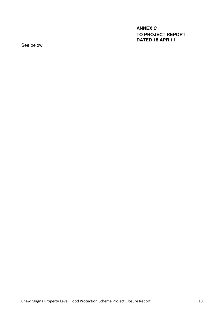**ANNEX C TO PROJECT REPORT DATED 18 APR 11** 

See below.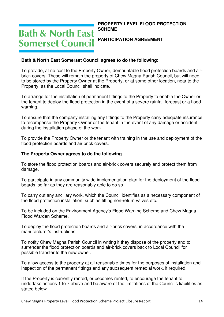## **Bath & North East Somerset Council**

#### **PROPERTY LEVEL FLOOD PROTECTION SCHEME**

#### **PARTICIPATION AGREEMENT**

#### **Bath & North East Somerset Council agrees to do the following:**

To provide, at no cost to the Property Owner, demountable flood protection boards and airbrick covers. These will remain the property of Chew Magna Parish Council, but will need to be stored by the Property Owner at the Property, or at some other location, near to the Property, as the Local Council shall indicate.

To arrange for the installation of permanent fittings to the Property to enable the Owner or the tenant to deploy the flood protection in the event of a severe rainfall forecast or a flood warning.

To ensure that the company installing any fittings to the Property carry adequate insurance to recompense the Property Owner or the tenant in the event of any damage or accident during the installation phase of the work.

To provide the Property Owner or the tenant with training in the use and deployment of the flood protection boards and air brick covers.

#### **The Property Owner agrees to do the following**

To store the flood protection boards and air-brick covers securely and protect them from damage.

To participate in any community wide implementation plan for the deployment of the flood boards, so far as they are reasonably able to do so.

To carry out any ancillary work, which the Council identifies as a necessary component of the flood protection installation, such as fitting non-return valves etc.

To be included on the Environment Agency's Flood Warning Scheme and Chew Magna Flood Warden Scheme.

To deploy the flood protection boards and air-brick covers, in accordance with the manufacturer's instructions.

To notify Chew Magna Parish Council in writing if they dispose of the property and to surrender the flood protection boards and air-brick covers back to Local Council for possible transfer to the new owner.

To allow access to the property at all reasonable times for the purposes of installation and inspection of the permanent fittings and any subsequent remedial work, if required.

If the Property is currently rented, or becomes rented, to encourage the tenant to undertake actions 1 to 7 above and be aware of the limitations of the Council's liabilities as stated below.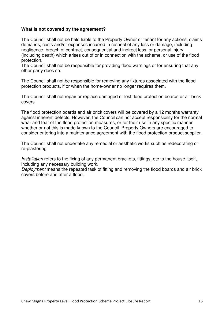#### **What is not covered by the agreement?**

The Council shall not be held liable to the Property Owner or tenant for any actions, claims demands, costs and/or expenses incurred in respect of any loss or damage, including negligence, breach of contract, consequential and indirect loss, or personal injury (including death) which arises out of or in connection with the scheme, or use of the flood protection.

The Council shall not be responsible for providing flood warnings or for ensuring that any other party does so.

The Council shall not be responsible for removing any fixtures associated with the flood protection products, if or when the home-owner no longer requires them.

The Council shall not repair or replace damaged or lost flood protection boards or air brick covers.

The flood protection boards and air brick covers will be covered by a 12 months warranty against inherent defects. However, the Council can not accept responsibility for the normal wear and tear of the flood protection measures, or for their use in any specific manner whether or not this is made known to the Council. Property Owners are encouraged to consider entering into a maintenance agreement with the flood protection product supplier.

The Council shall not undertake any remedial or aesthetic works such as redecorating or re-plastering.

Installation refers to the fixing of any permanent brackets, fittings, etc to the house itself, including any necessary building work.

Deployment means the repeated task of fitting and removing the flood boards and air brick covers before and after a flood.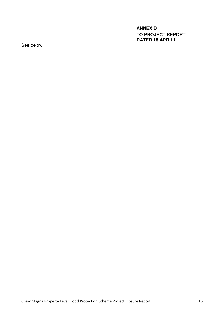**ANNEX D TO PROJECT REPORT DATED 18 APR 11** 

See below.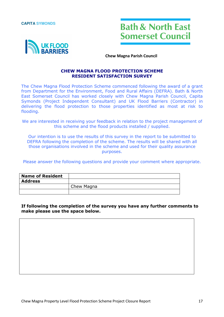**CAPITA SYMONDS** 





Chew Magna Parish Council

#### CHEW MAGNA FLOOD PROTECTION SCHEME RESIDENT SATISFACTION SURVEY

The Chew Magna Flood Protection Scheme commenced following the award of a grant from Department for the Environment, Food and Rural Affairs (DEFRA). Bath & North East Somerset Council has worked closely with Chew Magna Parish Council, Capita Symonds (Project Independent Consultant) and UK Flood Barriers (Contractor) in delivering the flood protection to those properties identified as most at risk to flooding.

We are interested in receiving your feedback in relation to the project management of this scheme and the flood products installed / supplied.

Our intention is to use the results of this survey in the report to be submitted to DEFRA following the completion of the scheme. The results will be shared with all those organisations involved in the scheme and used for their quality assurance purposes.

Please answer the following questions and provide your comment where appropriate.

| <b>Name of Resident</b> |            |
|-------------------------|------------|
| <b>Address</b>          |            |
|                         | Chew Magna |
|                         |            |

#### If following the completion of the survey you have any further comments to make please use the space below.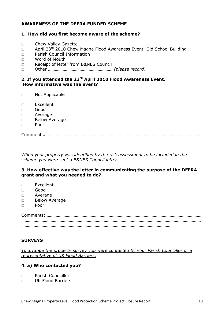#### AWARENESS OF THE DEFRA FUNDED SCHEME

#### 1. How did you first become aware of the scheme?

- Chew Valley Gazette
- $\Box$  April 23<sup>rd</sup> 2010 Chew Magna Flood Awareness Event, Old School Building
- □ Parish Council Information
- □ Word of Mouth
- Receipt of letter from B&NES Council
- □ Other ………………………………………………………… (please record)

#### 2. If you attended the 23<sup>rd</sup> April 2010 Flood Awareness Event. How informative was the event?

- Not Applicable
- $\square$  Excellent
- Good
- Average
- D Below Average
- $\Box$  Poor

Comments:………………………………………………………………………………………………………………………… …………………………………………………………………………………………………………………………………………… ……………………………………………………………………………………………………………………

When your property was identified by the risk assessment to be included in the scheme you were sent a B&NES Council letter.

#### 3. How effective was the letter in communicating the purpose of the DEFRA grant and what you needed to do?

- $\square$  Excellent
- Good
- Average
- D Below Average
- $\Box$  Poor

Comments:………………………………………………………………………………………………………………………… …………………………………………………………………………………………………………………………………………… ……………………………………………………………………………………………………………………

#### **SURVEYS**

To arrange the property survey you were contacted by your Parish Councillor or a representative of UK Flood Barriers.

#### 4. a) Who contacted you?

- Parish Councillor
- UK Flood Barriers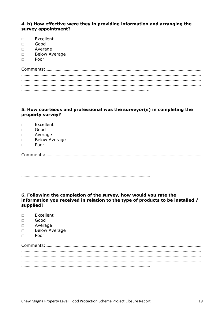#### 4. b) How effective were they in providing information and arranging the survey appointment?

- Excellent
- Good
- Average
- D Below Average
- $\Box$  Poor

#### 5. How courteous and professional was the surveyor(s) in completing the property survey?

- $\Box$  Excellent
- Good
- Average
- D Below Average
- Poor

#### 6. Following the completion of the survey, how would you rate the information you received in relation to the type of products to be installed / supplied?

- Excellent
- Good
- Average
- D Below Average
- $\Box$  Poor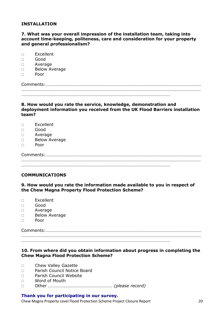#### INSTALLATION

#### 7. What was your overall impression of the installation team, taking into account time-keeping, politeness, care and consideration for your property and general professionalism?

| Excellent |  |
|-----------|--|
|-----------|--|

- Good
- Average
- D Below Average
- Poor

Comments:………………………………………………………………………………………………………………………… …………………………………………………………………………………………………………………………………………… ……………………………………………………………………………………………………………………

#### 8. How would you rate the service, knowledge, demonstration and deployment information you received from the UK Flood Barriers installation team?

- $\square$  Excellent
- Good
- Average
- D Below Average
- $\Box$  Poor

Comments:………………………………………………………………………………………………………………………… …………………………………………………………………………………………………………………………………………… ……………………………………………………………………………………………………………………

#### COMMUNICATIONS

#### 9. How would you rate the information made available to you in respect of the Chew Magna Property Flood Protection Scheme?

- Excellent
- Good
- Average
- □ Below Average
- $\Box$  Poor

Comments:………………………………………………………………………………………………………………………… …………………………………………………………………………………………………………………………………………… ……………………………………………………………………………………………………………………

#### 10. From where did you obtain information about progress in completing the Chew Magna Flood Protection Scheme?

- D Chew Valley Gazette
- □ Parish Council Notice Board
- □ Parish Council Website
- □ Word of Mouth
- □ Other ………………………………………………………… (please record)

#### Thank you for participating in our survey.

Chew Magna Property Level Flood Protection Scheme Project Closure Report 20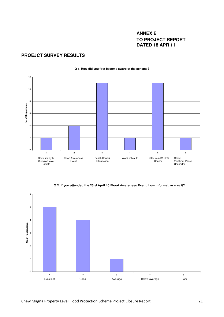#### **ANNEX E TO PROJECT REPORT DATED 18 APR 11**

#### **PROEJCT SURVEY RESULTS**



#### **Q 1. How did you first become aware of the scheme?**

**Q 2. If you attended the 23rd April 10 Flood Awareness Event, how informative was it?**

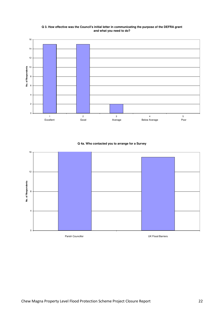#### **Q 3. How effective was the Council's initial letter in communicating the purpose of the DEFRA grant and what you need to do?**



#### **Q 4a. Who contacted you to arrange for a Survey**

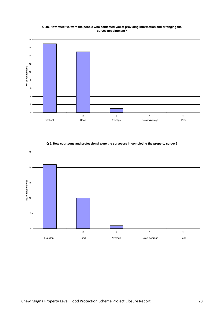#### **Q 4b. How effective were the people who contacted you at providing information and arranging the survey appointment?**





#### **Q 5. How courteous and professional were the surveyors in completing the property survey?**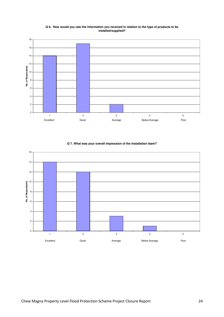#### **Q 6. How would you rate the information you received in relation to the type of products to be installed/supplied?**



**Q 7. What was your overall impression of the installation team?**

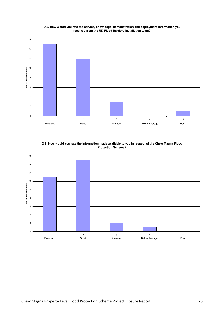

#### **Q 8. How would you rate the service, knowledge, demonstration and deployment information you received from the UK Flood Barriers installation team?**

**Q 9. How would you rate the information made available to you in respect of the Chew Magna Flood Protection Scheme?**